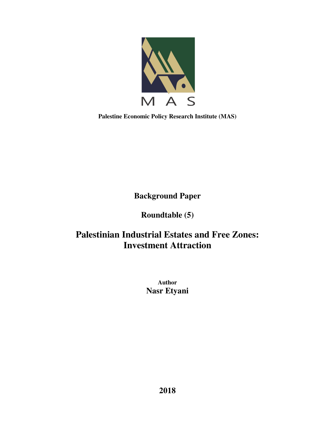

**Palestine Economic Policy Research Institute (MAS)** 

**Background Paper** 

**Roundtable (5)** 

# **Palestinian Industrial Estates and Free Zones: Investment Attraction**

**Author Nasr Etyani**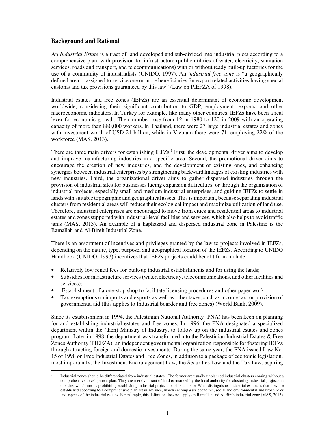## **Background and Rational**

An *Industrial Estate* is a tract of land developed and sub-divided into industrial plots according to a comprehensive plan, with provision for infrastructure (public utilities of water, electricity, sanitation services, roads and transport, and telecommunications) with or without ready built-up factories for the use of a community of industrialists (UNIDO, 1997). An *industrial free zone* is "a geographically defined area… assigned to service one or more beneficiaries for export related activities having special customs and tax provisions guaranteed by this law" (Law on PIEFZA of 1998).

Industrial estates and free zones (IEFZs) are an essential determinant of economic development worldwide, considering their significant contribution to GDP, employment, exports, and other macroeconomic indicators. In Turkey for example, like many other countries, IEFZs have been a real lever for economic growth. Their number rose from 12 in 1980 to 120 in 2009 with an operating capacity of more than 880,000 workers. In Thailand, there were 27 large industrial estates and zones with investment worth of USD 21 billion, while in Vietnam there were 71, employing 22% of the workforce (MAS, 2013).

There are three main drivers for establishing IEFZs.<sup>1</sup> First, the developmental driver aims to develop and improve manufacturing industries in a specific area. Second, the promotional driver aims to encourage the creation of new industries, and the development of existing ones, and enhancing synergies between industrial enterprises by strengthening backward linkages of existing industries with new industries. Third, the organizational driver aims to gather dispersed industries through the provision of industrial sites for businesses facing expansion difficulties, or through the organization of industrial projects, especially small and medium industrial enterprises, and guiding IEFZs to settle in lands with suitable topographic and geographical assets. This is important, because separating industrial clusters from residential areas will reduce their ecological impact and maximize utilization of land use. Therefore, industrial enterprises are encouraged to move from cities and residential areas to industrial estates and zones supported with industrial-level facilities and services, which also helps to avoid traffic jams (MAS, 2013). An example of a haphazard and dispersed industrial zone in Palestine is the Ramallah and Al-Bireh Industrial Zone.

There is an assortment of incentives and privileges granted by the law to projects involved in IEFZs, depending on the nature, type, purpose, and geographical location of the IEFZs. According to UNIDO Handbook (UNIDO, 1997) incentives that IEFZs projects could benefit from include:

- Relatively low rental fees for built-up industrial establishments and for using the lands;
- Subsidies for infrastructure services (water, electricity, telecommunications, and other facilities and services);
- Establishment of a one-stop shop to facilitate licensing procedures and other paper work;
- Tax exemptions on imports and exports as well as other taxes, such as income tax, or provision of governmental aid (this applies to Industrial boarder and free zones) (World Bank, 2009).

Since its establishment in 1994, the Palestinian National Authority (PNA) has been keen on planning for and establishing industrial estates and free zones. In 1996, the PNA designated a specialized department within the (then) Ministry of Industry, to follow up on the industrial estates and zones program. Later in 1998, the department was transformed into the Palestinian Industrial Estates & Free Zones Authority (PIEFZA), an independent governmental organization responsible for fostering IEFZs through attracting foreign and domestic investments. During the same year, the PNA issued Law No. 15 of 1998 on Free Industrial Estates and Free Zones, in addition to a package of economic legislation, most importantly, the Investment Encouragement Law, the Securities Law and the Tax Law, aspiring

 $\ddot{\phantom{a}}$ 1 Industrial zones should be differentiated from industrial estates. The former are usually unplanned industrial clusters coming without a comprehensive development plan. They are merely a tract of land earmarked by the local authority for clustering industrial projects in one site, which means prohibiting establishing industrial projects outside that site. What distinguishes industrial estates is that they are established according to a comprehensive plan set in advance, which encompasses economic, social and environmental and urban roles and aspects of the industrial estates. For example, this definition does not apply on Ramallah and Al Bireh industrial zone (MAS, 2013).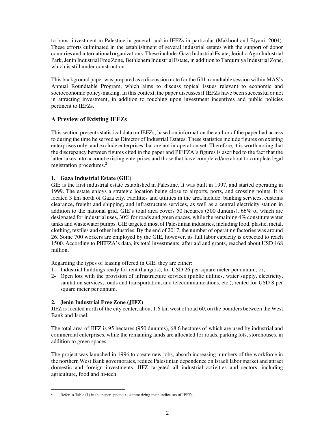to boost investment in Palestine in general, and in IEFZs in particular (Makhoul and Etyani, 2004). These efforts culminated in the establishment of several industrial estates with the support of donor countries and international organizations. These include: Gaza Industrial Estate, Jericho Agro Industrial Park, Jenin Industrial Free Zone, Bethlehem Industrial Estate, in addition to Tarqumiya Industrial Zone, which is still under construction.

This background paper was prepared as a discussion note for the fifth roundtable session within MAS's Annual Roundtable Program, which aims to discuss topical issues relevant to economic and socioeconomic policy-making. In this context, the paper discusses if IEFZs have been successful or not in attracting investment, in addition to touching upon investment incentives and public policies pertinent to IEFZs.

# **A Preview of Existing IEFZs**

This section presents statistical data on IEFZs, based on information the author of the paper had access to during the time he served as Director of Industrial Estates. These statistics include figures on existing enterprises only, and exclude enterprises that are not in operation yet. Therefore, it is worth noting that the discrepancy between figures cited in the paper and PIEFZA's figures is ascribed to the fact that the latter takes into account existing enterprises and those that have completed/are about to complete legal registration procedures.<sup>2</sup>

# **1. Gaza Industrial Estate (GIE)**

GIE is the first industrial estate established in Palestine. It was built in 1997, and started operating in 1999. The estate enjoys a strategic location being close to airports, ports, and crossing points. It is located 3 km north of Gaza city. Facilities and utilities in the area include: banking services, customs clearance, freight and shipping, and infrastructure services, as well as a central electricity station in addition to the national grid. GIE's total area covers 50 hectares (500 dunums), 66% of which are designated for industrial uses, 30% for roads and green spaces, while the remaining 4% constitute water tanks and wastewater pumps. GIE targeted most of Palestinian industries, including food, plastic, metal, clothing, textiles and other industries. By the end of 2017, the number of operating factories was around 26. Some 700 workers are employed by the GIE, however, its full labor capacity is expected to reach 1500. According to PIEFZA's data, its total investments, after aid and grants, reached about USD 168 million.

Regarding the types of leasing offered in GIE, they are either:

- 1- Industrial buildings ready for rent (hangars), for USD 26 per square meter per annum; or,
- 2- Open lots with the provision of infrastructure services (public utilities, water supply, electricity, sanitation services, roads and transportation, and telecommunications, etc.), rented for USD 8 per square meter per annum.

### **2. Jenin Industrial Free Zone (JIFZ)**

JIFZ is located north of the city center, about 1.6 km west of road 60, on the boarders between the West Bank and Israel.

The total area of JIFZ is 95 hectares (950 dunums), 68.6 hectares of which are used by industrial and commercial enterprises, while the remaining lands are allocated for roads, parking lots, storehouses, in addition to green spaces.

The project was launched in 1996 to create new jobs, absorb increasing numbers of the workforce in the northern West Bank governorates, reduce Palestinian dependence on Israeli labor market and attract domestic and foreign investments. JIFZ targeted all industrial activities and sectors, including agriculture, food and hi-tech.

 $\ddot{\phantom{a}}$ 2 Refer to Table (1) in the paper appendix, summarizing main indicators of IEFZs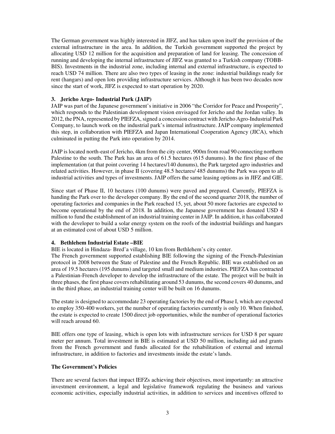The German government was highly interested in JIFZ, and has taken upon itself the provision of the external infrastructure in the area. In addition, the Turkish government supported the project by allocating USD 12 million for the acquisition and preparation of land for leasing. The concession of running and developing the internal infrastructure of JIFZ was granted to a Turkish company (TOBB-BIS). Investments in the industrial zone, including internal and external infrastructure, is expected to reach USD 74 million. There are also two types of leasing in the zone: industrial buildings ready for rent (hangars) and open lots providing infrastructure services. Although it has been two decades now since the start of work, JIFZ is expected to start operation by 2020.

#### **3. Jericho Argo- Industrial Park (JAIP)**

JAIP was part of the Japanese government's initiative in 2006 "the Corridor for Peace and Prosperity", which responds to the Palestinian development vision envisaged for Jericho and the Jordan valley. In 2012, the PNA, represented by PIEFZA, signed a concession contract with Jericho Agro-Industrial Park Company, to launch work on the industrial park's internal infrastructure. JAIP company implemented this step, in collaboration with PIEFZA and Japan International Cooperation Agency (JICA), which culminated in putting the Park into operation by 2014.

JAIP is located north-east of Jericho, 4km from the city center, 900m from road 90 connecting northern Palestine to the south. The Park has an area of 61.5 hectares (615 dunums). In the first phase of the implementation (at that point covering 14 hectares/140 dunums), the Park targeted agro industries and related activities. However, in phase II (covering 48.5 hectares/ 485 dunums) the Park was open to all industrial activities and types of investments. JAIP offers the same leasing options as in JIFZ and GIE.

Since start of Phase II, 10 hectares (100 dunums) were paved and prepared. Currently, PIEFZA is handing the Park over to the developer company. By the end of the second quarter 2018, the number of operating factories and companies in the Park reached 15, yet, about 50 more factories are expected to become operational by the end of 2018. In addition, the Japanese government has donated USD 4 million to fund the establishment of an industrial training center in JAIP. In addition, it has collaborated with the developer to build a solar energy system on the roofs of the industrial buildings and hangars at an estimated cost of about USD 5 million.

#### **4. Bethlehem Industrial Estate –BIE**

BIE is located in Hindaza- Bred'a village, 10 km from Bethlehem's city center.

The French government supported establishing BIE following the signing of the French-Palestinian protocol in 2008 between the State of Palestine and the French Republic. BIE was established on an area of 19.5 hectares (195 dunums) and targeted small and medium industries. PIEFZA has contracted a Palestinian-French developer to develop the infrastructure of the estate. The project will be built in three phases, the first phase covers rehabilitating around 53 dunums, the second covers 40 dunums, and in the third phase, an industrial training center will be built on 16 dunums.

The estate is designed to accommodate 23 operating factories by the end of Phase I, which are expected to employ 350-400 workers, yet the number of operating factories currently is only 10. When finished, the estate is expected to create 1500 direct job opportunities, while the number of operational factories will reach around 60.

BIE offers one type of leasing, which is open lots with infrastructure services for USD 8 per square meter per annum. Total investment in BIE is estimated at USD 50 million, including aid and grants from the French government and funds allocated for the rehabilitation of external and internal infrastructure, in addition to factories and investments inside the estate's lands.

#### **The Government's Policies**

There are several factors that impact IEFZs achieving their objectives, most importantly: an attractive investment environment, a legal and legislative framework regulating the business and various economic activities, especially industrial activities, in addition to services and incentives offered to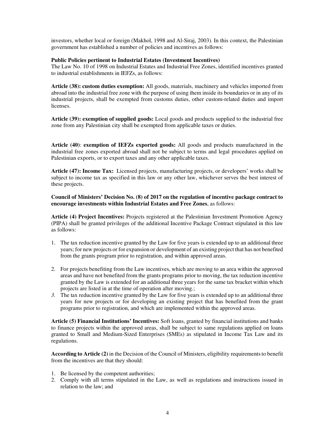investors, whether local or foreign (Makhol, 1998 and Al-Siraj, 2003). In this context, the Palestinian government has established a number of policies and incentives as follows:

#### **Public Policies pertinent to Industrial Estates (Investment Incentives)**

The Law No. 10 of 1998 on Industrial Estates and Industrial Free Zones, identified incentives granted to industrial establishments in IEFZs, as follows:

**Article (38): custom duties exemption:** All goods, materials, machinery and vehicles imported from abroad into the industrial free zone with the purpose of using them inside its boundaries or in any of its industrial projects, shall be exempted from customs duties, other custom-related duties and import licenses.

**Article (39): exemption of supplied goods:** Local goods and products supplied to the industrial free zone from any Palestinian city shall be exempted from applicable taxes or duties.

**Article (40)**: **exemption of IEFZs exported goods:** All goods and products manufactured in the industrial free zones exported abroad shall not be subject to terms and legal procedures applied on Palestinian exports, or to export taxes and any other applicable taxes.

**Article (47): Income Tax:** Licensed projects, manufacturing projects, or developers' works shall be subject to income tax as specified in this law or any other law, whichever serves the best interest of these projects.

**Council of Ministers' Decision No. (8) of 2017 on the regulation of incentive package contract to encourage investments within Industrial Estates and Free Zones**, as follows:

**Article (4) Project Incentives:** Projects registered at the Palestinian Investment Promotion Agency (PIPA) shall be granted privileges of the additional Incentive Package Contract stipulated in this law as follows:

- 1. The tax reduction incentive granted by the Law for five years is extended up to an additional three years; for new projects or for expansion or development of an existing project that has not benefited from the grants program prior to registration, and within approved areas.
- 2. For projects benefiting from the Law incentives, which are moving to an area within the approved areas and have not benefited from the grants programs prior to moving, the tax reduction incentive granted by the Law is extended for an additional three years for the same tax bracket within which projects are listed in at the time of operation after moving.;
- *3.* The tax reduction incentive granted by the Law for five years is extended up to an additional three years for new projects or for developing an existing project that has benefited from the grant programs prior to registration, and which are implemented within the approved areas.

**Article (5) Financial Institutions' Incentives:** Soft loans, granted by financial institutions and banks to finance projects within the approved areas, shall be subject to same regulations applied on loans granted to Small and Medium-Sized Enterprises (SMEs) as stipulated in Income Tax Law and its regulations.

**According to Article (2)** in the Decision of the Council of Ministers, eligibility requirements to benefit from the incentives are that they should:

- 1. Be licensed by the competent authorities;
- 2. Comply with all terms stipulated in the Law, as well as regulations and instructions issued in relation to the law; and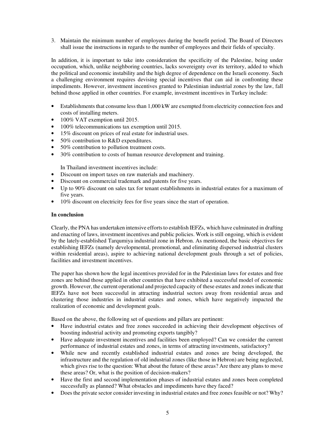3. Maintain the minimum number of employees during the benefit period. The Board of Directors shall issue the instructions in regards to the number of employees and their fields of specialty.

In addition, it is important to take into consideration the specificity of the Palestine, being under occupation, which, unlike neighboring countries, lacks sovereignty over its territory, added to which the political and economic instability and the high degree of dependence on the Israeli economy. Such a challenging environment requires devising special incentives that can aid in confronting these impediments. However, investment incentives granted to Palestinian industrial zones by the law, fall behind those applied in other countries. For example, investment incentives in Turkey include:

- Establishments that consume less than 1,000 kW are exempted from electricity connection fees and costs of installing meters.
- 100% VAT exemption until 2015.
- 100% telecommunications tax exemption until 2015.
- 15% discount on prices of real estate for industrial uses.
- 50% contribution to R&D expenditures.
- 50% contribution to pollution treatment costs.
- 30% contribution to costs of human resource development and training.

In Thailand investment incentives include:

- Discount on import taxes on raw materials and machinery.
- Discount on commercial trademark and patents for five years.
- Up to 90% discount on sales tax for tenant establishments in industrial estates for a maximum of five years.
- 10% discount on electricity fees for five years since the start of operation.

#### **In conclusion**

Clearly, the PNA has undertaken intensive efforts to establish IEFZs, which have culminated in drafting and enacting of laws, investment incentives and public policies. Work is still ongoing, which is evident by the lately-established Tarqumiya industrial zone in Hebron. As mentioned, the basic objectives for establishing IEFZs (namely developmental, promotional, and eliminating dispersed industrial clusters within residential areas), aspire to achieving national development goals through a set of policies, facilities and investment incentives.

The paper has shown how the legal incentives provided for in the Palestinian laws for estates and free zones are behind those applied in other countries that have exhibited a successful model of economic growth. However, the current operational and projected capacity of these estates and zones indicate that IEFZs have not been successful in attracting industrial sectors away from residential areas and clustering those industries in industrial estates and zones, which have negatively impacted the realization of economic and development goals.

Based on the above, the following set of questions and pillars are pertinent:

- Have industrial estates and free zones succeeded in achieving their development objectives of boosting industrial activity and promoting exports tangibly?
- Have adequate investment incentives and facilities been employed? Can we consider the current performance of industrial estates and zones, in terms of attracting investments, satisfactory?
- While new and recently established industrial estates and zones are being developed, the infrastructure and the regulation of old industrial zones (like those in Hebron) are being neglected, which gives rise to the question: What about the future of these areas? Are there any plans to move these areas? Or, what is the position of decision-makers?
- Have the first and second implementation phases of industrial estates and zones been completed successfully as planned? What obstacles and impediments have they faced?
- Does the private sector consider investing in industrial estates and free zones feasible or not? Why?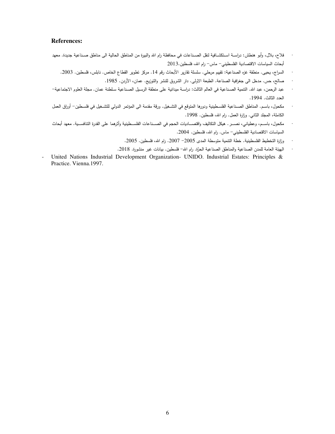#### **References:**

- فلاح، بلال، وأبو هنطش: دراســة اسـتكشــافية لنقل الصــناعات في محافظة رام الله والبيرة من المناطق الحالية الى مناطق صــناعية جديدة. معهد أبحاث السياسات الاقتصادية الفلسطيني- ماس- رام الله، فلسطين.2013
	- السراج، يحيى. منطقة غزه الصناعية: تقييم مرحلي. سلسلة تقارير الأبحاث رقم 14. مركز تطوير القطاع الخاص. نابلس، فلسطين. 2003.
		- صالح، حس. مدخل الى جغرافية الصناعة. الطبعة الاولى. دار الشروق للنشر والتوزيع. عمان، الأردن. 1985.
- عبد الرحمن، عبد الله. النتمية الصـناعية في العالم الثالث: دراســة ميدانية على منطقة الرسـيل الصـناعية سـلطنة عمان. مجلة العلوم الاجتماعية– العدد الثالث. 1994 .
- مكحول، باسـم. المناطق الصــناعية الفلسـطينية ودورها المتوقع في التشــغيل. ورقة مقدمة الـي المؤتمر الدولـي للتشـخيل فـي فلسـطين– أوراق الـعمل الكاملة، المجلد الثاني. وزارة العمل. رام الله، فلسطين. 1998.
- مكحول، باســم، وعطياني، نصـــر . هيكل التكاليف واقتصـــاديات الحجم في الصـــناعات الفلســطينية وأثرهما على القدرة النتافســية. معهد أبحاث السياسات الاقتصادية الفلسطيني- ماس. رام الله، فلسطين. 2004.
	- وزارة التخطيط الفلسطينية. خطة النتمية متوسطة المدى 2005− 2007. رام الله، فلسطين. 2005.
	- · الهيئة العامة للمدن الصناعية والمناطق الصناعية الحرَّة. رام الله– فلسطين. بيانات غير منشورة. 2018.
- United Nations Industrial Development Organization- UNIDO. Industrial Estates: Principles & Practice. Vienna.1997.